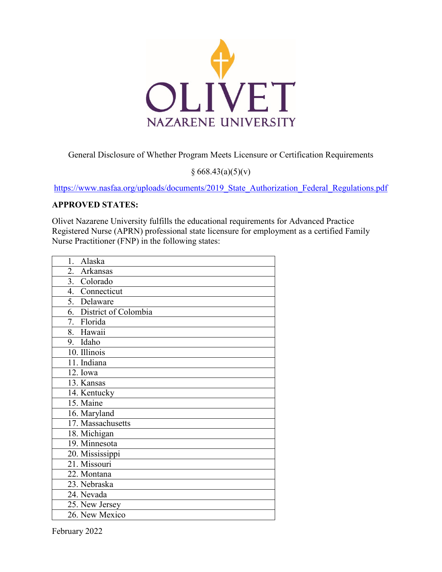

General Disclosure of Whether Program Meets Licensure or Certification Requirements

 $§ 668.43(a)(5)(v)$ 

[https://www.nasfaa.org/uploads/documents/2019\\_State\\_Authorization\\_Federal\\_Regulations.pdf](https://www.nasfaa.org/uploads/documents/2019_State_Authorization_Federal_Regulations.pdf)

## **APPROVED STATES:**

Olivet Nazarene University fulfills the educational requirements for Advanced Practice Registered Nurse (APRN) professional state licensure for employment as a certified Family Nurse Practitioner (FNP) in the following states:

| Alaska<br>1.            |
|-------------------------|
| 2.<br>Arkansas          |
| 3. Colorado             |
| 4. Connecticut          |
| 5. Delaware             |
| 6. District of Colombia |
| 7. Florida              |
| 8. Hawaii               |
| 9. Idaho                |
| 10. Illinois            |
| 11. Indiana             |
| 12. Iowa                |
| 13. Kansas              |
| 14. Kentucky            |
| 15. Maine               |
| 16. Maryland            |
| 17. Massachusetts       |
| 18. Michigan            |
| 19. Minnesota           |
| 20. Mississippi         |
| 21. Missouri            |
| 22. Montana             |
| 23. Nebraska            |
| 24. Nevada              |
| 25. New Jersey          |
| 26. New Mexico          |

February 2022